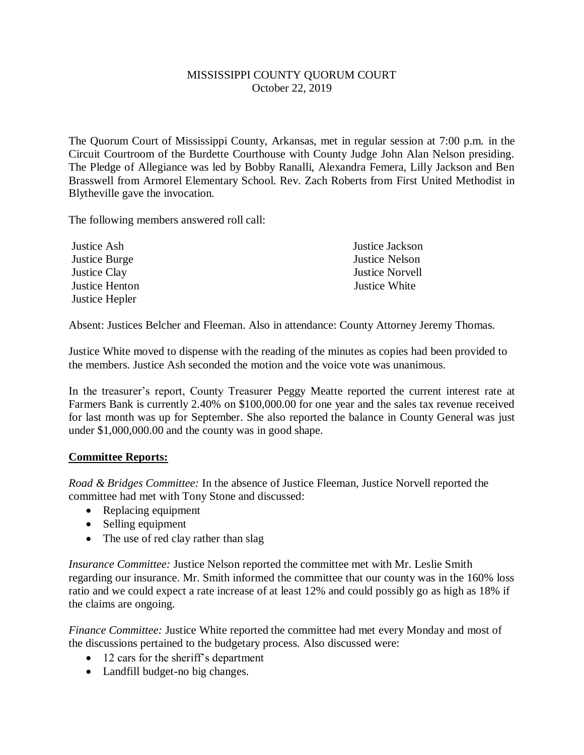## MISSISSIPPI COUNTY QUORUM COURT October 22, 2019

The Quorum Court of Mississippi County, Arkansas, met in regular session at 7:00 p.m. in the Circuit Courtroom of the Burdette Courthouse with County Judge John Alan Nelson presiding. The Pledge of Allegiance was led by Bobby Ranalli, Alexandra Femera, Lilly Jackson and Ben Brasswell from Armorel Elementary School. Rev. Zach Roberts from First United Methodist in Blytheville gave the invocation.

The following members answered roll call:

| Justice Ash    | Justice Jackson        |
|----------------|------------------------|
| Justice Burge  | Justice Nelson         |
| Justice Clay   | <b>Justice Norvell</b> |
| Justice Henton | Justice White          |
| Justice Hepler |                        |

Absent: Justices Belcher and Fleeman. Also in attendance: County Attorney Jeremy Thomas.

Justice White moved to dispense with the reading of the minutes as copies had been provided to the members. Justice Ash seconded the motion and the voice vote was unanimous.

In the treasurer's report, County Treasurer Peggy Meatte reported the current interest rate at Farmers Bank is currently 2.40% on \$100,000.00 for one year and the sales tax revenue received for last month was up for September. She also reported the balance in County General was just under \$1,000,000.00 and the county was in good shape.

## **Committee Reports:**

*Road & Bridges Committee:* In the absence of Justice Fleeman, Justice Norvell reported the committee had met with Tony Stone and discussed:

- Replacing equipment
- Selling equipment
- The use of red clay rather than slag

*Insurance Committee:* Justice Nelson reported the committee met with Mr. Leslie Smith regarding our insurance. Mr. Smith informed the committee that our county was in the 160% loss ratio and we could expect a rate increase of at least 12% and could possibly go as high as 18% if the claims are ongoing.

*Finance Committee:* Justice White reported the committee had met every Monday and most of the discussions pertained to the budgetary process. Also discussed were:

- 12 cars for the sheriff's department
- Landfill budget-no big changes.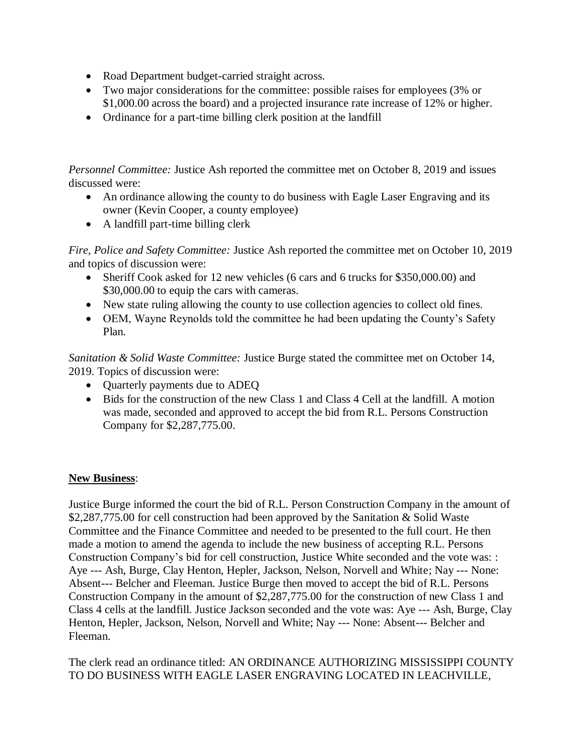- Road Department budget-carried straight across.
- Two major considerations for the committee: possible raises for employees (3% or \$1,000.00 across the board) and a projected insurance rate increase of 12% or higher.
- Ordinance for a part-time billing clerk position at the landfill

*Personnel Committee:* Justice Ash reported the committee met on October 8, 2019 and issues discussed were:

- An ordinance allowing the county to do business with Eagle Laser Engraving and its owner (Kevin Cooper, a county employee)
- A landfill part-time billing clerk

*Fire, Police and Safety Committee:* Justice Ash reported the committee met on October 10, 2019 and topics of discussion were:

- Sheriff Cook asked for 12 new vehicles (6 cars and 6 trucks for \$350,000.00) and \$30,000.00 to equip the cars with cameras.
- New state ruling allowing the county to use collection agencies to collect old fines.
- OEM, Wayne Reynolds told the committee he had been updating the County's Safety Plan.

*Sanitation & Solid Waste Committee:* Justice Burge stated the committee met on October 14, 2019. Topics of discussion were:

- Quarterly payments due to ADEQ
- Bids for the construction of the new Class 1 and Class 4 Cell at the landfill. A motion was made, seconded and approved to accept the bid from R.L. Persons Construction Company for \$2,287,775.00.

## **New Business**:

Justice Burge informed the court the bid of R.L. Person Construction Company in the amount of \$2,287,775.00 for cell construction had been approved by the Sanitation & Solid Waste Committee and the Finance Committee and needed to be presented to the full court. He then made a motion to amend the agenda to include the new business of accepting R.L. Persons Construction Company's bid for cell construction, Justice White seconded and the vote was: : Aye --- Ash, Burge, Clay Henton, Hepler, Jackson, Nelson, Norvell and White; Nay --- None: Absent--- Belcher and Fleeman. Justice Burge then moved to accept the bid of R.L. Persons Construction Company in the amount of \$2,287,775.00 for the construction of new Class 1 and Class 4 cells at the landfill. Justice Jackson seconded and the vote was: Aye --- Ash, Burge, Clay Henton, Hepler, Jackson, Nelson, Norvell and White; Nay --- None: Absent--- Belcher and Fleeman.

The clerk read an ordinance titled: AN ORDINANCE AUTHORIZING MISSISSIPPI COUNTY TO DO BUSINESS WITH EAGLE LASER ENGRAVING LOCATED IN LEACHVILLE,